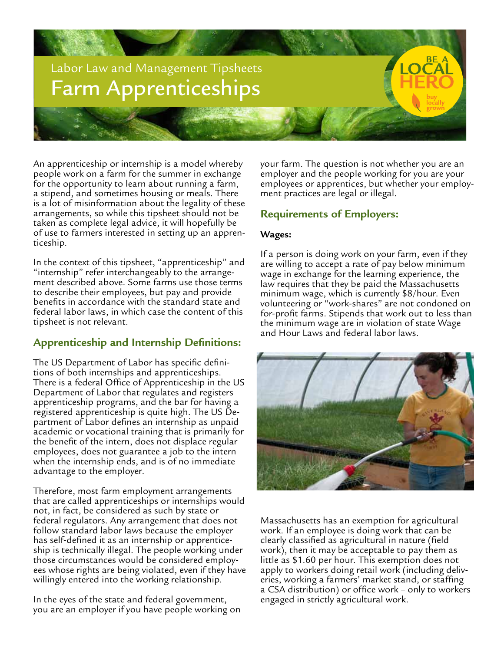

An apprenticeship or internship is a model whereby people work on a farm for the summer in exchange for the opportunity to learn about running a farm, a stipend, and sometimes housing or meals. There is a lot of misinformation about the legality of these arrangements, so while this tipsheet should not be taken as complete legal advice, it will hopefully be of use to farmers interested in setting up an appren- ticeship.

In the context of this tipsheet, "apprenticeship" and "internship" refer interchangeably to the arrange- ment described above. Some farms use those terms to describe their employees, but pay and provide benefits in accordance with the standard state and federal labor laws, in which case the content of this tipsheet is not relevant.

# **Apprenticeship and Internship Definitions:**

The US Department of Labor has specific defini- tions of both internships and apprenticeships. There is a federal Office of Apprenticeship in the US Department of Labor that regulates and registers apprenticeship programs, and the bar for having a registered apprenticeship is quite high. The US Department of Labor defines an internship as unpaid academic or vocational training that is primarily for the benefit of the intern, does not displace regular employees, does not guarantee a job to the intern when the internship ends, and is of no immediate advantage to the employer.

Therefore, most farm employment arrangements that are called apprenticeships or internships would not, in fact, be considered as such by state or federal regulators. Any arrangement that does not follow standard labor laws because the employer has self-defined it as an internship or apprenticeship is technically illegal. The people working under those circumstances would be considered employees whose rights are being violated, even if they have willingly entered into the working relationship.

In the eyes of the state and federal government, you are an employer if you have people working on your farm. The question is not whether you are an employer and the people working for you are your employees or apprentices, but whether your employ- ment practices are legal or illegal.

## **Requirements of Employers:**

### **Wages:**

If a person is doing work on your farm, even if they are willing to accept a rate of pay below minimum wage in exchange for the learning experience, the law requires that they be paid the Massachusetts minimum wage, which is currently \$8/hour. Even volunteering or "work-shares" are not condoned on for-profit farms. Stipends that work out to less than the minimum wage are in violation of state Wage and Hour Laws and federal labor laws.



Massachusetts has an exemption for agricultural work. If an employee is doing work that can be clearly classified as agricultural in nature (field work), then it may be acceptable to pay them as little as \$1.60 per hour. This exemption does not apply to workers doing retail work (including deliveries, working a farmers' market stand, or staffing a CSA distribution) or office work – only to workers engaged in strictly agricultural work.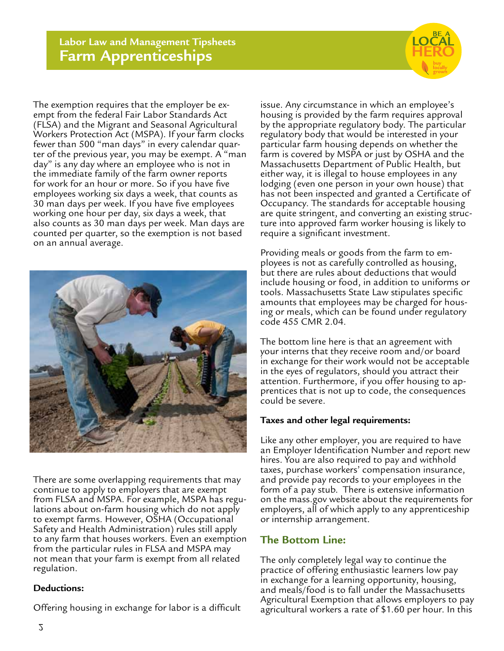

The exemption requires that the employer be exempt from the federal Fair Labor Standards Act (FLSA) and the Migrant and Seasonal Agricultural Workers Protection Act (MSPA). If your farm clocks fewer than 500 "man days" in every calendar quarter of the previous year, you may be exempt. A "man day" is any day where an employee who is not in the immediate family of the farm owner reports for work for an hour or more. So if you have five employees working six days a week, that counts as 30 man days per week. If you have five employees working one hour per day, six days a week, that also counts as 30 man days per week. Man days are counted per quarter, so the exemption is not based on an annual average.



There are some overlapping requirements that may continue to apply to employers that are exempt from FLSA and MSPA. For example, MSPA has regulations about on-farm housing which do not apply to exempt farms. However, OSHA (Occupational Safety and Health Administration) rules still apply to any farm that houses workers. Even an exemption from the particular rules in FLSA and MSPA may not mean that your farm is exempt from all related regulation.

#### **Deductions:**

Offering housing in exchange for labor is a difficult

issue. Any circumstance in which an employee's housing is provided by the farm requires approval by the appropriate regulatory body. The particular regulatory body that would be interested in your particular farm housing depends on whether the farm is covered by MSPA or just by OSHA and the Massachusetts Department of Public Health, but either way, it is illegal to house employees in any lodging (even one person in your own house) that has not been inspected and granted a Certificate of Occupancy. The standards for acceptable housing are quite stringent, and converting an existing struc- ture into approved farm worker housing is likely to require a significant investment.

Providing meals or goods from the farm to em- ployees is not as carefully controlled as housing, but there are rules about deductions that would include housing or food, in addition to uniforms or tools. Massachusetts State Law stipulates specific amounts that employees may be charged for hous- ing or meals, which can be found under regulatory code 455 CMR 2.04.

The bottom line here is that an agreement with your interns that they receive room and/or board in exchange for their work would not be acceptable in the eyes of regulators, should you attract their attention. Furthermore, if you offer housing to apprentices that is not up to code, the consequences could be severe.

#### **Taxes and other legal requirements:**

Like any other employer, you are required to have an Employer Identification Number and report new hires. You are also required to pay and withhold taxes, purchase workers' compensation insurance, and provide pay records to your employees in the form of a pay stub. There is extensive information on the mass.gov website about the requirements for employers, all of which apply to any apprenticeship or internship arrangement.

### **The Bottom Line:**

The only completely legal way to continue the practice of offering enthusiastic learners low pay in exchange for a learning opportunity, housing, and meals/food is to fall under the Massachusetts Agricultural Exemption that allows employers to pay agricultural workers a rate of \$1.60 per hour. In this